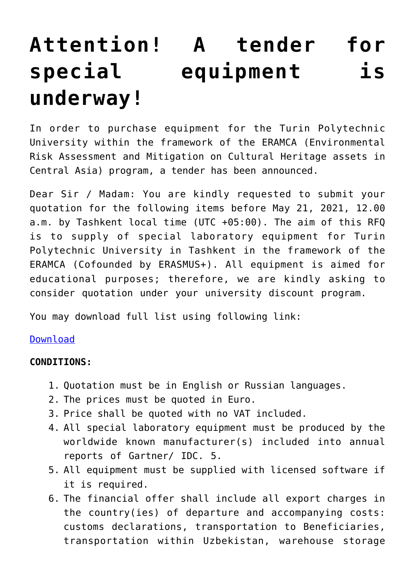## **[Attention! A tender for](https://polito.uz/14450/) [special equipment is](https://polito.uz/14450/) [underway!](https://polito.uz/14450/)**

In order to purchase equipment for the Turin Polytechnic University within the framework of the ERAMCA (Environmental Risk Assessment and Mitigation on Cultural Heritage assets in Central Asia) program, a tender has been announced.

Dear Sir / Madam: You are kindly requested to submit your quotation for the following items before May 21, 2021, 12.00 a.m. by Tashkent local time (UTC +05:00). The aim of this RFQ is to supply of special laboratory equipment for Turin Polytechnic University in Tashkent in the framework of the ERAMCA (Cofounded by ERASMUS+). All equipment is aimed for educational purposes; therefore, we are kindly asking to consider quotation under your university discount program.

You may download full list using following link:

## [Download](http://new.polito.uz/wp-content/uploads/2021/06/REQUEST-FOR-QUOTATION-2.docx)

## **CONDITIONS:**

- 1. Quotation must be in English or Russian languages.
- 2. The prices must be quoted in Euro.
- 3. Price shall be quoted with no VAT included.
- 4. All special laboratory equipment must be produced by the worldwide known manufacturer(s) included into annual reports of Gartner/ IDC. 5.
- 5. All equipment must be supplied with licensed software if it is required.
- 6. The financial offer shall include all export charges in the country(ies) of departure and accompanying costs: customs declarations, transportation to Beneficiaries, transportation within Uzbekistan, warehouse storage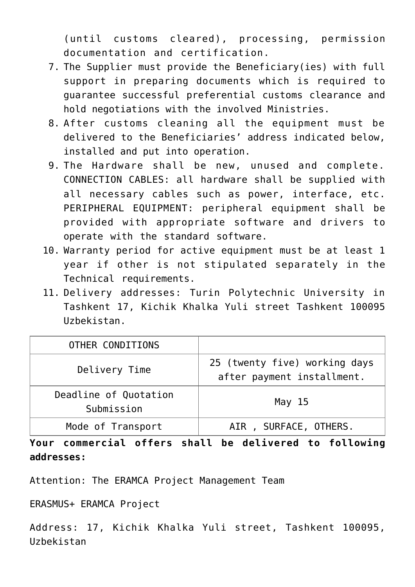(until customs cleared), processing, permission documentation and certification.

- 7. The Supplier must provide the Beneficiary(ies) with full support in preparing documents which is required to guarantee successful preferential customs clearance and hold negotiations with the involved Ministries.
- 8. After customs cleaning all the equipment must be delivered to the Beneficiaries' address indicated below, installed and put into operation.
- 9. The Hardware shall be new, unused and complete. CONNECTION CABLES: all hardware shall be supplied with all necessary cables such as power, interface, etc. PERIPHERAL EQUIPMENT: peripheral equipment shall be provided with appropriate software and drivers to operate with the standard software.
- 10. Warranty period for active equipment must be at least 1 year if other is not stipulated separately in the Technical requirements.
- 11. Delivery addresses: Turin Polytechnic University in Tashkent 17, Kichik Khalka Yuli street Tashkent 100095 Uzbekistan.

| OTHER CONDITIONS                    |                                                             |
|-------------------------------------|-------------------------------------------------------------|
| Delivery Time                       | 25 (twenty five) working days<br>after payment installment. |
| Deadline of Quotation<br>Submission | May $15$                                                    |
| Mode of Transport                   | AIR, SURFACE, OTHERS.                                       |

**Your commercial offers shall be delivered to following addresses:**

Attention: The ERAMCA Project Management Team

ERASMUS+ ERAMCA Project

Address: 17, Kichik Khalka Yuli street, Tashkent 100095, Uzbekistan